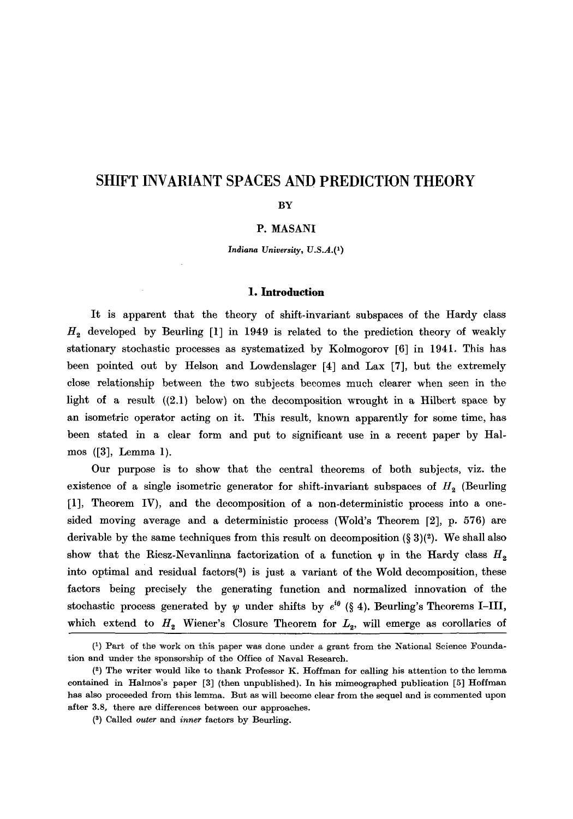# **SHIFT INVARIANT SPACES AND PREDICTION THEORY**

#### **BY**

# P. MASANI

*Indiana University, U.S.A.*<sup>(1)</sup>

# **l. Introduction**

It is apparent that the theory of shift-invariant subspaces of the Hardy class  $H<sub>2</sub>$  developed by Beurling [1] in 1949 is related to the prediction theory of weakly stationary stochastic processes as systematized by Kolmogorov [6] in 1941. This has been pointed out by Helson and Lowdenslager [4] and Lax [7], but the extremely close relationship between the two subjects becomes much clearer when seen in the light of a result ((2.1) below) on the decomposition wrought in a Hilbert space by an isometric operator acting on it. This result, known apparently for some time, has been stated in a clear form and put to significant use in a recent paper by Halmos ([3], Lemma 1).

Our purpose is to show that the central theorems of both subjects, viz. the existence of a single isometric generator for shift-invariant subspaces of  $H<sub>2</sub>$  (Beurling [1], Theorem IV), and the decomposition of a non-deterministic process into a onesided moving average and a deterministic process (Wold's Theorem [2], p. 576) are derivable by the same techniques from this result on decomposition  $(\S 3)(2)$ . We shall also show that the Riesz-Nevanlinna factorization of a function  $\psi$  in the Hardy class  $H_2$ into optimal and residual factors $(3)$  is just a variant of the Wold decomposition, these factors being precisely the generating function and normalized innovation of the stochastic process generated by  $\psi$  under shifts by  $e^{i\theta}$  (§ 4). Beurling's Theorems I-III, which extend to  $H_2$  Wiener's Closure Theorem for  $L_2$ , will emerge as corollaries of

<sup>(1)</sup> Part of the work on this paper was done under a grant from the National Science Foundation and under the sponsorship of the Office of Naval Research.

 $(2)$  The writer would like to thank Professor K. Hoffman for calling his attention to the lemma contained in Halmos's paper [3] (then unpublished). In his mimeographed publication [5] Hoffman has also proceeded from this lemma. But as will become clear from the sequel and is commented upon after 3.8, there are differences between our approaches.

<sup>(</sup>s) Called *outer* and *inner* factors by Beurling.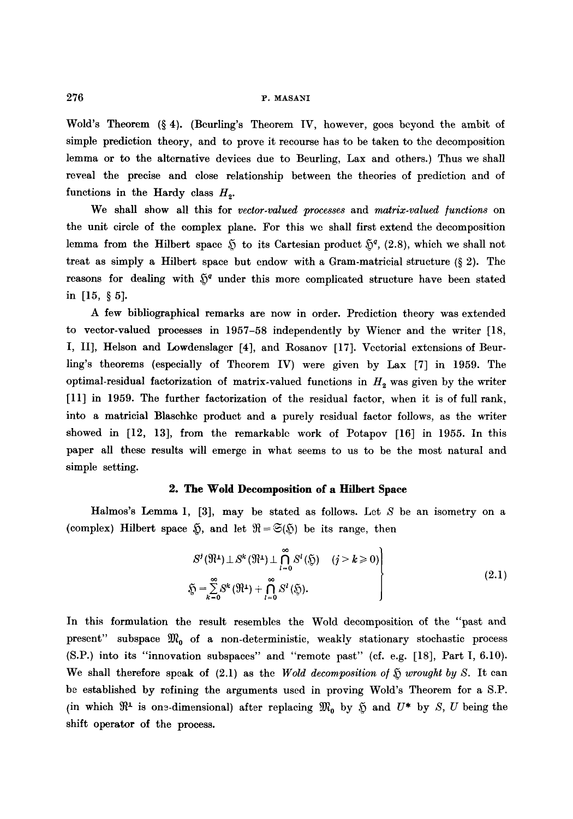#### 276 r. MASANI

Wold's Theorem  $(\S 4)$ . (Beurling's Theorem IV, however, goes beyond the ambit of simple prediction theory, and to prove it recourse has to be taken to the decomposition lemma or to the alternative devices due to Beurling, Lax and others.) Thus we shall reveal the precise and close relationship between the theories of prediction and of functions in the Hardy class  $H<sub>2</sub>$ .

We shall show all this for *vector.valued processes* and *matrix.valued /unctions* on the unit circle of the complex plane. For this we shall first extend the decomposition lemma from the Hilbert space  $\tilde{p}$  to its Cartesian product  $\tilde{p}^q$ , (2.8), which we shall not treat as simply a Hilbert space but endow with a Gram-matricial structure  $(\S 2)$ . The reasons for dealing with  $5<sup>q</sup>$  under this more complicated structure have been stated in  $[15, 85]$ .

A few bibliographical remarks are now in order. Prediction theory was extended to vector-valued processes in 1957-58 independently by Wiener and the writer [18, I, II], Helson and Lowdenslager [4], and Rosanov [17]. Vectorial extensions of Beurling's theorems (especially of Theorem IV) were given by Lax [7] in 1959. The optimal-residual factorization of matrix-valued functions in  $H_2$  was given by the writer [11] in 1959. The further factorization of the residual factor, when it is of full rank, into a matricial Blaschke product and a purely residual factor follows, as the writer showed in [12, 13], from the remarkable work of Potapov [16] in 1955. In this paper all these results will emerge in what seems to us to be the most natural and simple setting.

### **2. The Wold Decomposition of a Hilbert Space**

Halmos's Lemma 1, [3], may be stated as follows. Let  $S$  be an isometry on a (complex) Hilbert space  $\tilde{y}$ , and let  $\mathfrak{R} = \tilde{\mathfrak{S}}(\tilde{y})$  be its range, then

$$
S^{j}(\mathfrak{N}^{1}) \perp S^{k}(\mathfrak{N}^{1}) \perp \bigcap_{l=0}^{\infty} S^{l}(\mathfrak{H}) \qquad (j > k \geq 0)
$$
  

$$
\tilde{\mathfrak{D}} = \sum_{k=0}^{\infty} S^{k}(\mathfrak{N}^{1}) + \bigcap_{l=0}^{\infty} S^{l}(\mathfrak{D}).
$$
 (2.1)

In this formulation the result resembles the Wold decomposition of the "past and present" subspace  $\mathfrak{M}_0$  of a non-deterministic, weakly stationary stochastic process (S.P.) into its "innovation subspaees" and "remote past" (cf. e.g. [18], Part I, 6.10). We shall therefore speak of  $(2.1)$  as the *Wold decomposition of*  $\tilde{y}$  *wrought by S.* It can be established by refining the arguments used in proving Wold's Theorem for a S.P. (in which  $\mathfrak{R}^1$  is on--dimensional) after replacing  $\mathfrak{M}_0$  by  $\mathfrak{H}$  and  $U^*$  by S, U being the shift operator of the process.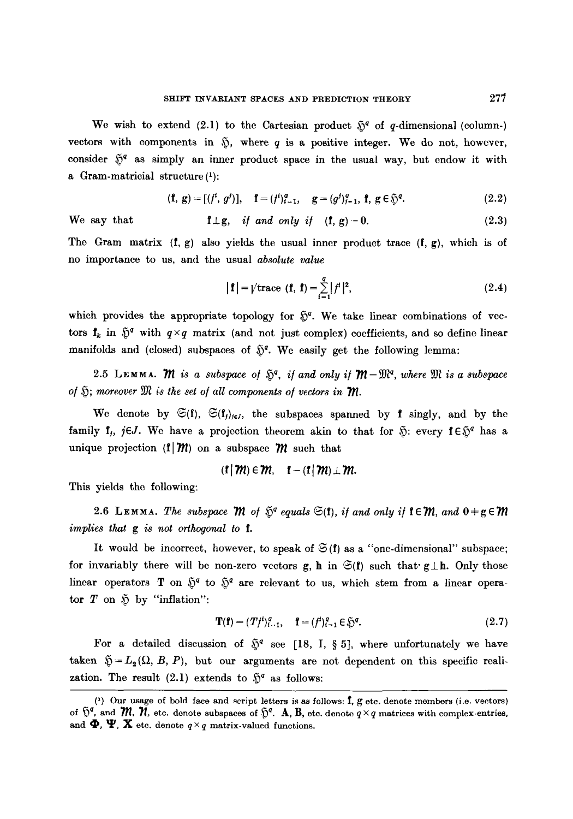We wish to extend (2.1) to the Cartesian product  $\tilde{Q}^q$  of q-dimensional (column-) vectors with components in  $$$ , where q is a positive integer. We do not, however, consider  $\tilde{y}^q$  as simply an inner product space in the usual way, but endow it with a Gram-matricial structure (1):

$$
(\mathbf{f}, \mathbf{g}) = [(\mathbf{f}^i, g^j)], \quad \mathbf{f} = (\mathbf{f}^i)_{i=1}^q, \quad \mathbf{g} = (g^j)_{j=1}^q, \mathbf{f}, \mathbf{g} \in \mathfrak{H}^q. \tag{2.2}
$$

We say that  $\mathbf{f} \perp \mathbf{g}$ , if and only if  $(\mathbf{f}, \mathbf{g}) = 0$ . (2.3)

The Gram matrix  $(f, g)$  also yields the usual inner product trace  $(f, g)$ , which is of no importance to us, and the usual *absolute value* 

$$
|\mathbf{f}| = \sqrt{\text{trace}(\mathbf{f}, \mathbf{f})} = \sum_{i=1}^{q} |f^i|^2,
$$
 (2.4)

which provides the appropriate topology for  $\tilde{v}^q$ . We take linear combinations of vectors  $f_k$  in  $\tilde{v}^q$  with  $q \times q$  matrix (and not just complex) coefficients, and so define linear manifolds and (closed) subspaces of  $\tilde{y}^q$ . We easily get the following lemma:

2.5 LEMMA. *M* is a subspace of  $\tilde{S}^q$ , if and only if  $\mathcal{M} = \mathfrak{M}^q$ , where  $\mathfrak{M}$  is a subspace of  $\mathfrak{H}$ ; moreover  $\mathfrak{M}$  is the set of all components of vectors in  $\mathfrak{M}$ .

We denote by  $\mathfrak{S}(f)$ ,  $\mathfrak{S}(f)$ <sub>je</sub>, the subspaces spanned by f singly, and by the family f<sub>j</sub>,  $j\in J$ . We have a projection theorem akin to that for  $\tilde{y}$ : every  $f \in \tilde{y}^q$  has a unique projection  $(f|~\mathcal{M})$  on a subspace  $\mathcal M$  such that

$$
(\mathbf{f} \,|\, \mathbf{m}) \in \mathbf{m}, \quad \mathbf{f} - (\mathbf{f} \,|\, \mathbf{m}) \perp \mathbf{m}
$$

This yields the following:

2.6 LEMMA. The subspace *M* of  $\tilde{S}^q$  equals  $\mathfrak{S}(f)$ , if and only if  $f \in \mathcal{M}$ , and  $0 \neq g \in \mathcal{M}$ *implies that g is not orthogonal to I.* 

It would be incorrect, however, to speak of  $\mathfrak{S}(f)$  as a "one-dimensional" subspace; for invariably there will be non-zero vectors g, h in  $\mathfrak{S}(f)$  such that  $g \perp h$ . Only those linear operators T on  $\tilde{S}^q$  to  $\tilde{S}^q$  are relevant to us, which stem from a linear operator  $T$  on  $\tilde{D}$  by "inflation":

$$
\mathbf{T}(\mathbf{f}) = (Tf^i)_{i=1}^q, \quad \mathbf{f} = (f^i)_{i=1}^q \in \mathfrak{H}^q. \tag{2.7}
$$

For a detailed discussion of  $\tilde{N}^q$  see [18, I, § 5], where unfortunately we have taken  $\mathfrak{H}=L_2(\Omega, B, P)$ , but our arguments are not dependent on this specific realization. The result (2.1) extends to  $\tilde{p}^q$  as follows:

<sup>(&#</sup>x27;) Our usage of bold face and script letters is as follows: f, g etc. denote membors (i.e. vectors) of  $~\tilde{v}^q$ , and  $~M$ ,  $~N$ , etc. denote subspaces of  $~\tilde{v}^q$ . A, B, etc. denote  $q \times q$  matrices with complex-entries, and  $\Phi$ ,  $\Psi$ ,  $X$  etc. denote  $q \times q$  matrix-valued functions.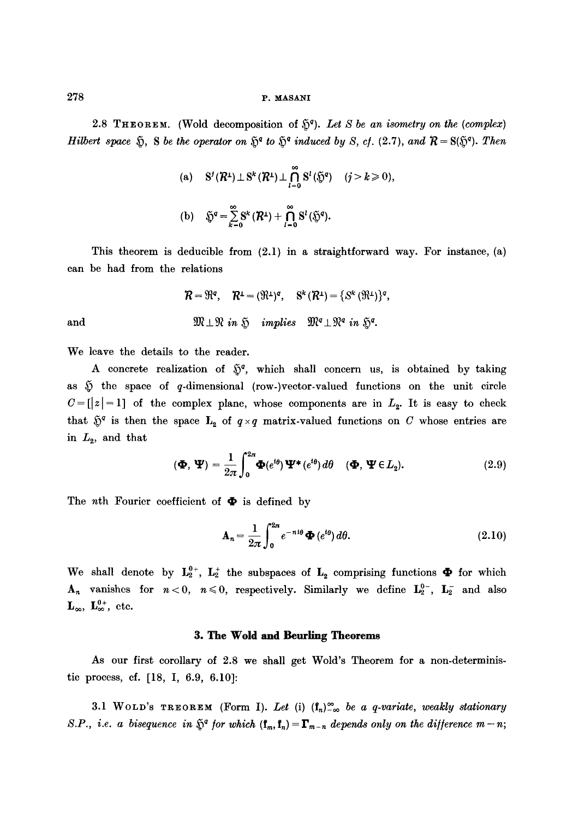# 278 **p. masani**

2.8 THEOREM. (Wold decomposition of  $\mathfrak{H}^q$ ). Let S be an isometry on the (complex) *Hilbert space*  $\tilde{y}$ , S be the operator on  $\tilde{y}^q$  to  $\tilde{y}^q$  induced by S, cf. (2.7), and  $\mathcal{R} = S(\tilde{y}^q)$ . Then

(a) 
$$
S'(R^1) \perp S^k(R^1) \perp \bigcap_{l=0}^{\infty} S^l(\mathfrak{H}^q) \quad (j > k \ge 0),
$$
  
(b)  $\mathfrak{H}^q = \sum_{k=0}^{\infty} S^k(R^1) + \bigcap_{l=0}^{\infty} S^l(\mathfrak{H}^q).$ 

This theorem is deducible from (2.1) in a straightforward way. For instance, (a) can be had from the relations

and 
$$
\mathcal{R} = \mathfrak{R}^q, \quad \mathcal{R}^{\perp} = (\mathfrak{R}^{\perp})^q, \quad \mathbf{S}^k (\mathcal{R}^{\perp}) = \{ \mathbf{S}^k (\mathfrak{R}^{\perp}) \}^q,
$$
  
and 
$$
\mathfrak{M} \perp \mathfrak{N} \text{ in } \mathfrak{H} \text{ implies } \mathfrak{M}^q \perp \mathfrak{N}^q \text{ in } \mathfrak{H}^q.
$$

We leave the details to the reader.

A concrete realization of  $\tilde{Q}^q$ , which shall concern us, is obtained by taking as  $~\tilde{y}~$  the space of q-dimensional (row-)vector-valued functions on the unit circle  $C = [z] = 1$ ] of the complex plane, whose components are in  $L_2$ . It is easy to check that  $\tilde{y}^q$  is then the space  $\mathbf{L}_2$  of  $q \times q$  matrix-valued functions on C whose entries are in  $L_2$ , and that

$$
(\mathbf{\Phi}, \mathbf{\Psi}) = \frac{1}{2\pi} \int_0^{2\pi} \mathbf{\Phi}(e^{i\theta}) \mathbf{\Psi}^*(e^{i\theta}) d\theta \quad (\mathbf{\Phi}, \mathbf{\Psi} \in L_2).
$$
 (2.9)

The *n*th Fourier coefficient of  $\Phi$  is defined by

$$
\mathbf{A}_n = \frac{1}{2\pi} \int_0^{2\pi} e^{-ni\theta} \mathbf{\Phi}(e^{i\theta}) d\theta.
$$
 (2.10)

We shall denote by  $L_2^{0+}$ ,  $L_2^+$  the subspaces of  $L_2$  comprising functions  $\Phi$  for which  $A_n$  vanishes for  $n<0$ ,  $n\leq 0$ , respectively. Similarly we define  $L_2^{0-}$ ,  $L_2^-$  and also  $\mathbf{L}_{\infty}$ ,  $\mathbf{L}_{\infty}^{0+}$ , etc.

#### **3. The Wold and Beurling Theorems**

As our first corollary of 2.8 we shall get Wold's Theorem for a non-deterministic process, cf. [18, I, 6.9, 6.10]:

3.1 WOLD's TREOREM (Form I). Let (i)  $(f_n)_{-\infty}^{\infty}$  be a q-variate, weakly stationary *S.P., i.e. a bisequence in*  $\tilde{p}^q$  *for which*  $(f_m, f_n) = \mathbf{\Gamma}_{m-n}$  depends only on the difference  $m-n$ ;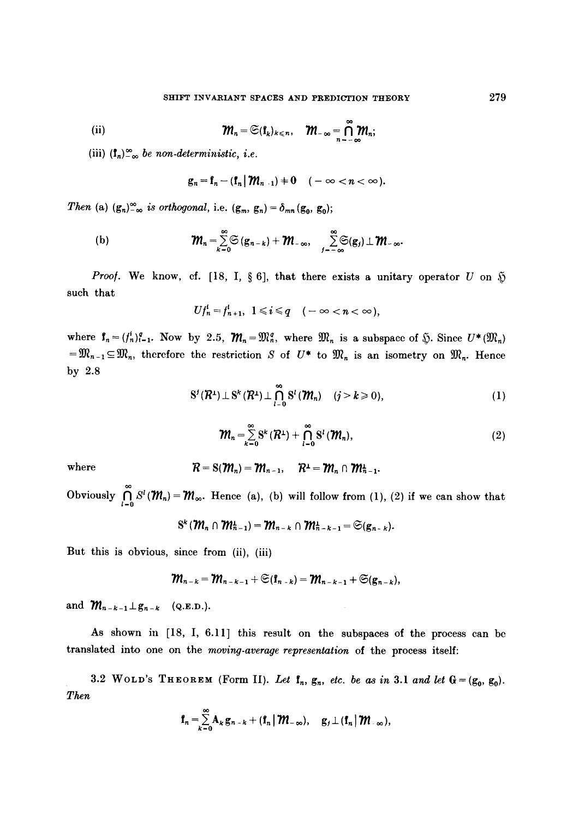(ii) 
$$
\mathbf{M}_n = \mathfrak{S}(\mathbf{f}_k)_{k \leq n}, \quad \mathbf{M}_{-\infty} = \bigcap_{n=-\infty}^{\infty} \mathbf{M}_n
$$

(iii)  $(\mathbf{1}_n)_{-\infty}^{\infty}$  *be non-deterministic, i.e.* 

$$
g_n = f_n - (f_n \,|\, \mathcal{W}_{n-1}) + 0 \quad (-\infty < n < \infty).
$$

*Then* (a)  $(g_n)_{-\infty}^{\infty}$  *is orthogonal*, i.e.  $(g_m, g_n) = \delta_{mn}(g_0, g_0);$ 

(b) 
$$
\mathbf{M}_n = \sum_{k=0}^{\infty} \mathfrak{S}(\mathbf{g}_{n-k}) + \mathbf{M}_{-\infty}, \quad \sum_{j=-\infty}^{\infty} \mathfrak{S}(\mathbf{g}_j) \perp \mathbf{M}_{-\infty}.
$$

*Proof.* We know, cf. [18, I, § 6], that there exists a unitary operator U on  $\mathfrak H$ such that

$$
Uf_n^i=f_{n+1}^i, \ \ 1\leq i\leq q \quad (-\infty
$$

where  $f_n = (f_n^i)_{i=1}^q$ . Now by 2.5,  $\mathcal{M}_n = \mathfrak{M}_n^q$ , where  $\mathfrak{M}_n$  is a subspace of  $\tilde{\mathfrak{Y}}$ . Since  $U^*(\mathfrak{M}_n)$  $={\frak M}_{n-1}\subseteq {\frak M}_n$ , therefore the restriction S of  $U^*$  to  ${\frak M}_n$  is an isometry on  ${\frak M}_n$ . Hence by 2.8

$$
S^{j}(R^{1}) \perp S^{k}(R^{1}) \perp \bigcap_{l=0}^{\infty} S^{l}(m_{n}) \quad (j > k \geqslant 0), \tag{1}
$$

$$
\mathbf{M}_n = \sum_{k=0}^{\infty} \mathbf{S}^k \left( \mathbf{R}^1 \right) + \bigcap_{l=0}^{\infty} \mathbf{S}^l \left( \mathbf{M}_n \right),\tag{2}
$$

where 
$$
\mathcal{R} = S(\mathcal{M}_n) = \mathcal{M}_{n-1}, \quad \mathcal{R}^{\perp} = \mathcal{M}_n \cap \mathcal{M}_{n-1}^{\perp}.
$$

Obviously  $\bigcap_{i=0} S^{i}(m_{n})=m_{\infty}$ . Hence (a), (b) will follow from (1), (2) if we can show that

$$
S^k(\mathcal{M}_n\cap\mathcal{M}_{n-1}^{\perp})=\mathcal{M}_{n-k}\cap\mathcal{M}_{n-k-1}^{\perp}=\mathfrak{S}(g_{n-k}).
$$

But this is obvious, since from (ii), (iii)

$$
\mathcal{M}_{n-k}=\mathcal{M}_{n-k-1}+\mathfrak{S}(\mathbf{f}_{n-k})=\mathcal{M}_{n-k-1}+\mathfrak{S}(\mathbf{g}_{n-k}),
$$

and  $m_{n-k-1} \perp g_{n-k}$  (Q.E.D.).

As shown in [18, I, 6.11] this result on the subspaces of the process can be translated into one on the *moving-average representation* of the process itself:

3.2 WOLD'S THEOREM (Form II). Let  $f_n$ ,  $g_n$ , *etc. be as in* 3.1 and let  $G = (g_0, g_0)$ . *Then* 

$$
\mathbf{f}_n = \sum_{k=0}^{\infty} \mathbf{A}_k \mathbf{g}_{n-k} + (\mathbf{f}_n \,|\, \mathbf{W}_{-\infty}), \quad \mathbf{g}_j \perp (\mathbf{f}_n \,|\, \mathbf{W}_{-\infty}),
$$

279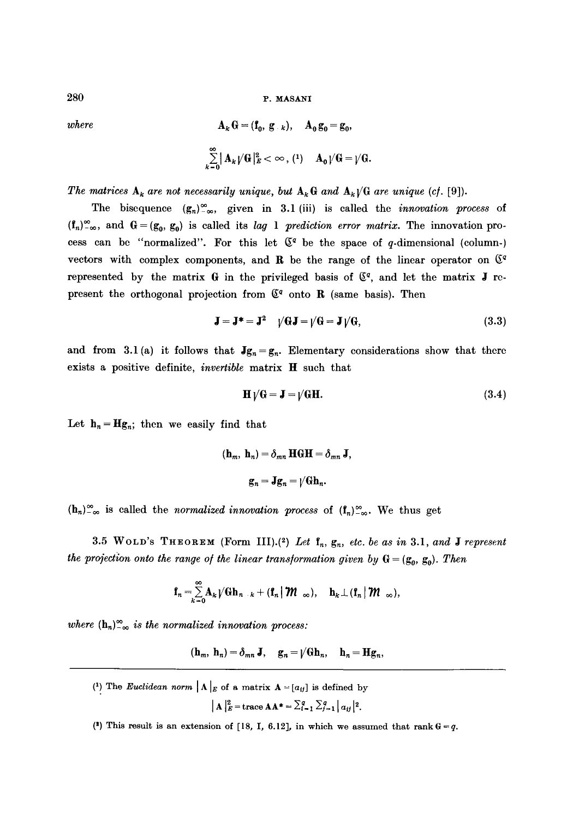$280$  P. MASANI

where  
\n
$$
\mathbf{A}_k \mathbf{G} = (\mathbf{f}_0, \mathbf{g}_{-k}), \quad \mathbf{A}_0 \mathbf{g}_0 = \mathbf{g}_0,
$$
\n
$$
\sum_{k=0}^{\infty} |\mathbf{A}_k| / |\mathbf{G}|^2 \leq \infty, \quad (1) \quad \mathbf{A}_0 | / |\mathbf{G}| = |\mathbf{G}|.
$$

*The matrices*  $A_k$  are not necessarily unique, but  $A_k G$  and  $A_k / G$  are unique (cf. [9]).

The bisequence  $(g_n)_{-\infty}^{\infty}$ , given in 3.1 (iii) is called the *innovation process* of  $(f_n)_{-\infty}^{\infty}$ , and  $G = (g_0, g_0)$  is called its *lag* 1 *prediction error matrix*. The innovation process can be "normalized". For this let  $\mathbb{C}^q$  be the space of q-dimensional (column-) vectors with complex components, and R be the range of the linear operator on  $\mathbb{S}^q$ represented by the matrix G in the privileged basis of  $C<sup>q</sup>$ , and let the matrix J represent the orthogonal projection from  $\mathfrak{C}^q$  onto R (same basis). Then

$$
\mathbf{J} = \mathbf{J}^* = \mathbf{J}^2 \quad \sqrt{G}\mathbf{J} = \sqrt{G} = \mathbf{J}\sqrt{G},\tag{3.3}
$$

and from 3.1(a) it follows that  $Jg_n = g_n$ . Elementary considerations show that there exists a positive definite, *invertible* matrix H such that

$$
\mathbf{H}\,\gamma\mathbf{G} = \mathbf{J} = \gamma\mathbf{G}\mathbf{H}.\tag{3.4}
$$

Let  $h_n=Hg_n$ ; then we easily find that

$$
(\mathbf{h}_m, \mathbf{h}_n) = \delta_{mn} \mathbf{H} \mathbf{G} \mathbf{H} = \delta_{mn} \mathbf{J},
$$

$$
\mathbf{g}_n = \mathbf{J} \mathbf{g}_n = \mathbf{\mu} \mathbf{G} \mathbf{h}_n.
$$

 $(h_n)_{-\infty}^{\infty}$  is called the *normalized innovation process* of  $(f_n)_{-\infty}^{\infty}$ . We thus get

3.5 WOLD'S THEOREM (Form III).<sup>(2)</sup> Let  $f_n$ ,  $g_n$ , etc. be as in 3.1, and **J** represent *the projection onto the range of the linear transformation given by*  $G = (g_0, g_0)$ . *Then* 

$$
\mathbf{f}_n = \sum_{k=0}^{\infty} \mathbf{A}_k \big/ \mathbf{G} \mathbf{h}_{n-k} + (\mathbf{f}_n \, \big| \, \mathbf{W}_{-\infty}), \quad \mathbf{h}_k \perp (\mathbf{f}_n \, \big| \, \mathbf{W}_{-\infty})
$$

where  $(h_n)_{-\infty}^{\infty}$  *is the normalized innovation process:* 

 $(\mathbf{h}_m, \mathbf{h}_n) = \delta_{mn} \mathbf{J}, \quad \mathbf{g}_n = \sqrt{\mathbf{G} \mathbf{h}_n}, \quad \mathbf{h}_n = \mathbf{H} \mathbf{g}_n,$ 

(1) The *Euclidean norm*  $\mathbf{A} \mid_E \mathbf{A}$  a matrix  $\mathbf{A} = [a_{ij}]$  is defined by

$$
\left|\mathbf{A}\right|_{E}^{2} = \text{trace }\mathbf{A}\mathbf{A}^* = \sum_{i=1}^{q} \sum_{j=1}^{q} |a_{ij}|^2.
$$

(2) This result is an extension of [18, I, 6.12], in which we assumed that rank  $G = q$ .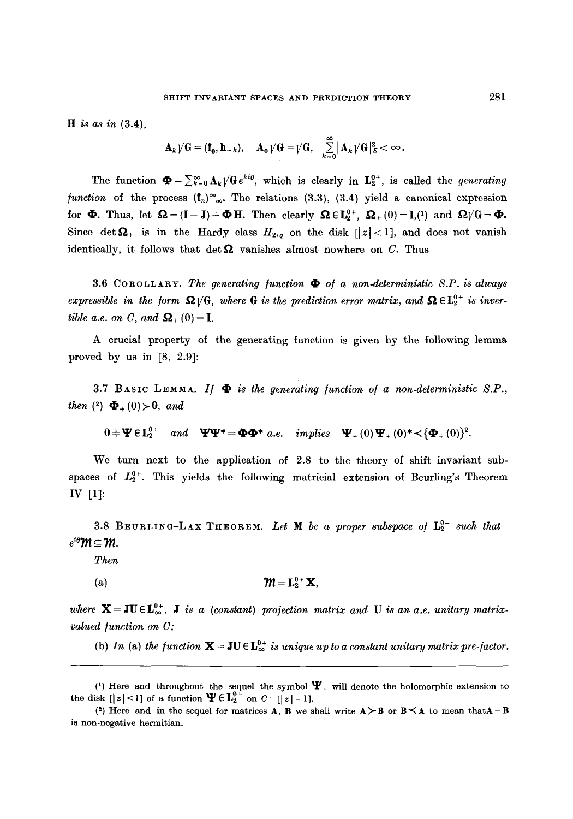*H is as in* **(3.4),** 

$$
\mathbf{A}_{k}/\mathbf{G}=(\mathbf{f}_{0}, \mathbf{h}_{-k}), \quad \mathbf{A}_{0}/\mathbf{G}=\big|/\mathbf{G}, \quad \sum_{k=0}^{\infty}|\mathbf{A}_{k}/\mathbf{G}|_{E}^{2}<\infty.
$$

The function  $\mathbf{\Phi} = \sum_{k=0}^{\infty} A_k \sqrt{\mathbf{G}} e^{kt\theta}$ , which is clearly in  $\mathbf{L}_2^{0+}$ , is called the *generating function* of the process  $(f_n)_{\infty}^{\infty}$ . The relations (3.3), (3.4) yield a canonical expression for  $\Phi$ . Thus, let  $\Omega = (I-J)+\Phi H$ . Then clearly  $\Omega \in L_2^{0+}$ ,  $\Omega_+(0)=I,(1)$  and  $\Omega/\mathbb{G}=\Phi$ . Since  $\det\mathbf{\Omega}_{+}$  is in the Hardy class  $H_{2/q}$  on the disk  $[|z|<1]$ , and does not vanish identically, it follows that  $\det \Omega$  vanishes almost nowhere on C. Thus

3.6 COROLLARY. *The generating function ~ of a non-deterministic S.P. is always expressible in the form*  $\Omega / G$ , *where* G *is the prediction error matrix, and*  $\Omega \in L_2^{0+}$  *is invertible a.e. on C, and*  $\Omega_+(0) = I$ .

A crucial property of the generating function is given by the following lemma proved by us in [8, 2.9]:

3.7 BASIC LEMMA. If  $\Phi$  is the generating function of a non-deterministic S.P., *then* (2)  $\Phi_+(0) > 0$ , and

$$
0 + \Psi \in L_2^{0+} \quad and \quad \Psi \Psi^* = \Phi \Phi^* \quad a.e. \quad implies \quad \Psi_+(0) \Psi_+(0)^* \langle {\Phi_+(0)}^2 \rangle.
$$

We turn next to the application of 2.8 to the theory of shift invariant subspaces of  $L_2^{0+}$ . This yields the following matricial extension of Beurling's Theorem IV [1]:

3.8 BEURLING-LAX THEOREM. Let **M** be a proper subspace of  $L_2^{0+}$  such that  $e^{i\theta}$  $\mathcal{M}$   $\subseteq$   $\mathcal{M}$ .

*Then* 

(a) 
$$
\mathbf{M} = \mathbf{L}_2^{0+} \mathbf{X},
$$

where  $X = JU \in L^{0+}_{\infty}$ , *J is a (constant) projection matrix and U is an a.e. unitary matrixvalued function on C;* 

(b) In (a) the function  $\mathbf{X} = \mathbf{J} \mathbf{U} \in \mathbf{L}_{\infty}^{0+}$  is unique up to a constant unitary matrix pre-jactor.

<sup>(1)</sup> Here and throughout the sequel the symbol  $\Psi_+$  will denote the holomorphic extension to the disk  $[|z| < 1]$  of a function  $\Psi \in L_2^{0+}$  on  $C = |z| = 1$ .

<sup>(2)</sup> Here and in the sequel for matrices A, B we shall write  $A \geq B$  or  $B \leq A$  to mean that A - B **is** non-negative herraitian.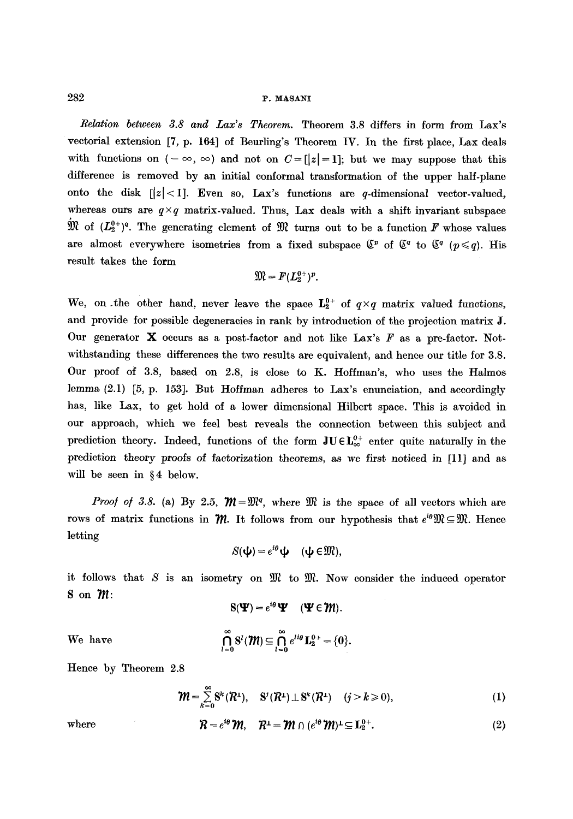## 282 P. MASANI

*Relation between 3.8 and Lax's Theorem.* Theorem 3.8 differs in form from Lax's vectorial extension [7, p. 164] of Beurling's Theorem IV. In the first place, Lax deals with functions on  $(-\infty, \infty)$  and not on  $C=[|z|=1]$ ; but we may suppose that this difference is removed by an initial conformal transformation of the upper half-plane onto the disk  $\lfloor |z| < 1$ . Even so, Lax's functions are q-dimensional vector-valued, whereas ours are  $q \times q$  matrix-valued. Thus, Lax deals with a shift invariant subspace  $\mathfrak{M}$  of  $(L_2^{0+})^q$ . The generating element of  $\mathfrak{M}$  turns out to be a function F whose values are almost everywhere isometries from a fixed subspace  $\mathbb{S}^p$  of  $\mathbb{S}^q$  to  $\mathbb{S}^q$  ( $p \leq q$ ). His result takes the form

$$
\mathfrak{M}=F(L_2^{0+})^p.
$$

We, on the other hand, never leave the space  $L_2^{0+}$  of  $q \times q$  matrix valued functions, and provide for possible degeneracies in rank by introduction of the projection matrix J. Our generator  $X$  occurs as a post-factor and not like Lax's  $F$  as a pre-factor. Notwithstanding these differences the two results are equivalent, and hence our title for 3.8. Our proof of 3.8, based on 2.8, is close to K. Hoffman's, who uses the Halmos lemma (2.1) [5, p. 153]. But Hoffman adheres to Lax's enunciation, and accordingly has, like Lax, to get hold of a lower dimensional Hilbert space. This is avoided in our approach, which we feel best reveals the connection between this subject and prediction theory. Indeed, functions of the form  $JU \in L^{0+}_{\infty}$  enter quite naturally in the prediction theory *proofs* of factorization theorems, as we first noticed in [11] and as will be seen in  $§ 4$  below.

*Proof of 3.8.* (a) By 2.5,  $\mathcal{W} = \mathbb{R}^q$ , where  $\mathcal{W}$  is the space of all vectors which are rows of matrix functions in  $\mathcal M$ . It follows from our hypothesis that  $e^{i\theta} \mathfrak M \subseteq \mathfrak M$ . Hence letting

$$
S(\mathbf{\psi})=e^{i\theta}\mathbf{\psi} \quad (\mathbf{\psi} \in \mathfrak{M}),
$$

it follows that  $S$  is an isometry on  $\mathfrak{M}$  to  $\mathfrak{M}$ . Now consider the induced operator **S** on  $m$ :

$$
S(\mathbf{\Psi})=e^{i\theta}\mathbf{\Psi} \quad (\mathbf{\Psi} \in \mathcal{W}).
$$

 $We have$ 

$$
\bigcap_{l=0}^\infty \mathrm{S}^l(\pmb{\mathcal{M}}) \!\subseteq\! \bigcap_{l=0}^\infty e^{l i \theta}\,\mathbf{L}_2^{0\,+} \!=\! \{ \mathbf{0} \}
$$

Hence by Theorem 2.8

$$
\mathbf{\mathcal{W}}=\sum_{k=0}^{\infty}\mathbf{S}^{k}(\mathbf{\mathcal{R}}^{1}),\quad\mathbf{S}^{j}(\mathbf{\mathcal{R}}^{1})\perp\mathbf{S}^{k}(\mathbf{\mathcal{R}}^{1})\quad(j>k\geqslant0),\tag{1}
$$

$$
\quad\text{where}\quad
$$

where 
$$
\mathcal{R} = e^{i\theta} \mathcal{M}, \quad \mathcal{R}^{\perp} = \mathcal{M} \cap (e^{i\theta} \mathcal{M})^{\perp} \subseteq \mathbf{L}_2^{0+}.
$$
 (2)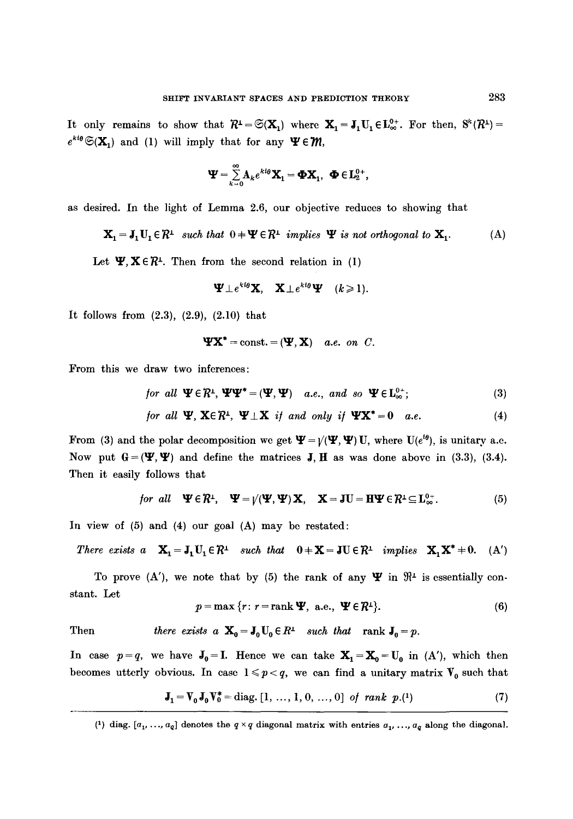It only remains to show that  $R^1 = \mathfrak{S}(\mathbf{X}_1)$  where  $\mathbf{X}_1 = \mathbf{J}_1U_1 \in L^{0+}_{\infty}$ . For then,  $S^k(R^1) =$  $e^{kt\theta} \mathfrak{S}(\mathbf{X}_1)$  and (1) will imply that for any  $\Psi \in \mathcal{W}$ ,

$$
\Psi = \sum_{k=0}^{\infty} A_k e^{k i \theta} \mathbf{X}_1 = \mathbf{\Phi} \mathbf{X}_1, \ \mathbf{\Phi} \in \mathbf{L}_2^{0+},
$$

as desired. In the light of Lemma 2.6, our objective reduces to showing that

$$
\mathbf{X}_{1} = \mathbf{J}_{1} \mathbf{U}_{1} \in \mathcal{R}^{1} \text{ such that } 0 + \mathbf{\Psi} \in \mathcal{R}^{1} \text{ implies } \mathbf{\Psi} \text{ is not orthogonal to } \mathbf{X}_{1}. \tag{A}
$$

Let  $\Psi, X \in \mathbb{R}^{\perp}$ . Then from the second relation in (I)

$$
\Psi \perp e^{k i \theta} \mathbf{X}, \quad \mathbf{X} \perp e^{k i \theta} \Psi \quad (k \geq 1).
$$

It follows from  $(2.3)$ ,  $(2.9)$ ,  $(2.10)$  that

$$
\mathbf{Y} \mathbf{X}^* = \text{const.} = (\mathbf{Y}, \mathbf{X}) \quad a.e. \text{ on } C.
$$

From this we draw two inferences:

$$
\text{for all } \Psi \in \mathbb{R}^1, \Psi \Psi^* = (\Psi, \Psi) \quad a.e., \text{ and so } \Psi \in L^{0+}_{\infty}; \tag{3}
$$

for all 
$$
\Psi
$$
,  $X \in \mathbb{R}^1$ ,  $\Psi \perp X$  if and only if  $\Psi X^* = 0$  a.e. (4)

From (3) and the polar decomposition we get  $\Psi = \mathcal{V}(\Psi, \Psi)$  U, where  $U(e^{i\theta})$ , is unitary a.e. Now put  $G = (\Psi, \Psi)$  and define the matrices J, H as was done above in (3.3), (3.4). Then it easily follows that

for all 
$$
\Psi \in \mathbb{R}^{\perp}
$$
,  $\Psi = \psi(\Psi, \Psi) \mathbf{X}$ ,  $\mathbf{X} = \mathbf{J} \mathbf{U} = \mathbf{H} \Psi \in \mathbb{R}^{\perp} \subseteq \mathbf{L}_{\infty}^{0+}$ . (5)

In view of (5) and (4) our goal (A) may be restated:

$$
\text{There exists } a \quad \mathbf{X}_1 = \mathbf{J}_1 U_1 \in \mathcal{R}^1 \quad \text{such that} \quad 0 + \mathbf{X} = \mathbf{J} U \in \mathcal{R}^1 \quad \text{implies} \quad \mathbf{X}_1 \mathbf{X}^* + 0. \quad (A')
$$

To prove (A'), we note that by (5) the rank of any  $\Psi$  in  $\mathfrak{R}^{\perp}$  is essentially constant. Let

$$
p = \max \{r: r = \text{rank } \Psi, \text{ a.e., } \Psi \in \mathcal{R}^{\perp} \}. \tag{6}
$$

Then *there exists a*  $\mathbf{X}_0 = \mathbf{J}_0 \mathbf{U}_0 \in R^{\perp}$  *such that* rank  $\mathbf{J}_0 = p$ .

In case  $p=q$ , we have  $J_0=I$ . Hence we can take  $X_1=X_0=U_0$  in (A'), which then becomes utterly obvious. In case  $1 \leq p < q$ , we can find a unitary matrix  $V_0$  such that

$$
\mathbf{J}_1 = \mathbf{V}_0 \mathbf{J}_0 \mathbf{V}_0^* = \text{diag.} \left[ 1, \dots, 1, 0, \dots, 0 \right] \text{ of } rank \text{ } p. \tag{7}
$$

<sup>(1)</sup> diag.  $[a_1, ..., a_q]$  denotes the  $q \times q$  diagonal matrix with entries  $a_1, ..., a_q$  along the diagonal.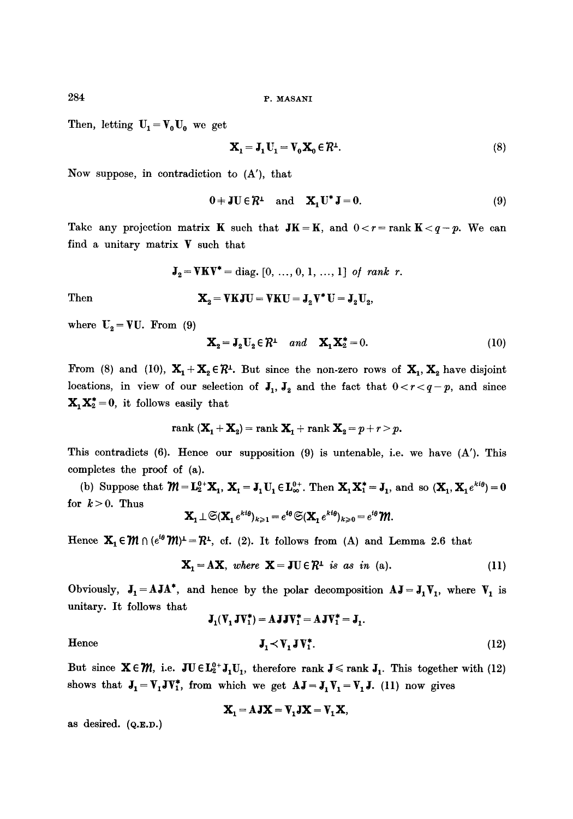Then, letting  $U_1 = V_0 U_0$  we get

$$
\mathbf{X}_1 = \mathbf{J}_1 \mathbf{U}_1 = \mathbf{V}_0 \mathbf{X}_0 \in \mathcal{R}^{\perp}.
$$
 (8)

Now suppose, in contradiction to (A'), that

$$
0 \doteq \mathbf{J} \mathbf{U} \in \mathcal{R}^{\perp} \quad \text{and} \quad \mathbf{X}_1 \mathbf{U}^* \mathbf{J} = 0. \tag{9}
$$

Take any projection matrix **K** such that  $JK = K$ , and  $0 < r = \text{rank } K < q - p$ . We can find a unitary matrix  $V$  such that

$$
J_2 = VKV^* = diag. [0, ..., 0, 1, ..., 1] \text{ of rank } r.
$$

Then 
$$
\mathbf{X}_2 = \mathbf{V} \mathbf{K} \mathbf{J} \mathbf{U} = \mathbf{V} \mathbf{K} \mathbf{U} = \mathbf{J}_2 \mathbf{V}^* \mathbf{U} = \mathbf{J}_2 \mathbf{U}_2,
$$

where  $U_2 = VU$ . From (9)

$$
\mathbf{X}_2 = \mathbf{J}_2 \mathbf{U}_2 \in \mathcal{R}^{\perp} \quad and \quad \mathbf{X}_1 \mathbf{X}_2^* = 0. \tag{10}
$$

From (8) and (10),  $X_1 + X_2 \in \mathbb{R}^1$ . But since the non-zero rows of  $X_1, X_2$  have disjoint locations, in view of our selection of  $J_1, J_2$  and the fact that  $0 < r < q-p$ , and since  $X_1X_2^* = 0$ , it follows easily that

$$
rank\left(\mathbf{X}_1+\mathbf{X}_2\right)=rank\mathbf{X}_1+rank\mathbf{X}_2=p+r>p.
$$

This contradicts  $(6)$ . Hence our supposition  $(9)$  is untenable, i.e. we have  $(A')$ . This completes the proof of (a).

(b) Suppose that  $\mathcal{W} = \mathbf{L}_2^{0+}\mathbf{X}_1$ ,  $\mathbf{X}_1 = \mathbf{J}_1\mathbf{U}_1 \in \mathbf{L}_{\infty}^{0+}$ . Then  $\mathbf{X}_1 \mathbf{X}_1^* = \mathbf{J}_1$ , and so  $(\mathbf{X}_1, \mathbf{X}_1 e^{k i \theta}) = 0$ for  $k > 0$ . Thus

$$
\mathbf{X}_1 \perp \mathfrak{S}(\mathbf{X}_1 e^{kt\theta})_{k \geq 1} = e^{i\theta} \mathfrak{S}(\mathbf{X}_1 e^{kt\theta})_{k \geq 0} = e^{i\theta} \mathfrak{M}.
$$

Hence  $X_1 \in \mathcal{W} \cap (e^{i\theta} \mathcal{W})^{\perp} = \mathcal{R}^{\perp}$ , cf. (2). It follows from (A) and Lemma 2.6 that

$$
\mathbf{X}_1 = \mathbf{A}\mathbf{X}, \text{ where } \mathbf{X} = \mathbf{J} \mathbf{U} \in \mathcal{R}^{\perp} \text{ is as in (a).}
$$
 (11)

Obviously,  $J_1 = A J A^*$ , and hence by the polar decomposition  $AJ = J_1 V_1$ , where  $V_1$  is unitary. It follows that

$$
\mathbf{J}_1(\mathbf{V}_1 \mathbf{J} \mathbf{V}_1^*) = \mathbf{A} \mathbf{J} \mathbf{J} \mathbf{V}_1^* = \mathbf{A} \mathbf{J} \mathbf{V}_1^* = \mathbf{J}_1.
$$
\nHence\n
$$
\mathbf{J}_1 \prec \mathbf{V}_1 \mathbf{J} \mathbf{V}_1^*.
$$
\n(12)

But since  $X \in \mathcal{M}$ , i.e.  $JU \in L_2^{0+} J_1U_1$ , therefore rank  $J \le$  rank  $J_1$ . This together with (12) shows that  $J_1=V_1JV_1^*$ , from which we get  $AJ = J_1V_1=V_1J$ . (11) now gives

$$
\mathbf{X}_1 = \mathbf{A}\mathbf{J}\mathbf{X} = \mathbf{V}_1\mathbf{J}\mathbf{X} = \mathbf{V}_1\mathbf{X},
$$

as desired.  $(Q.E.D.)$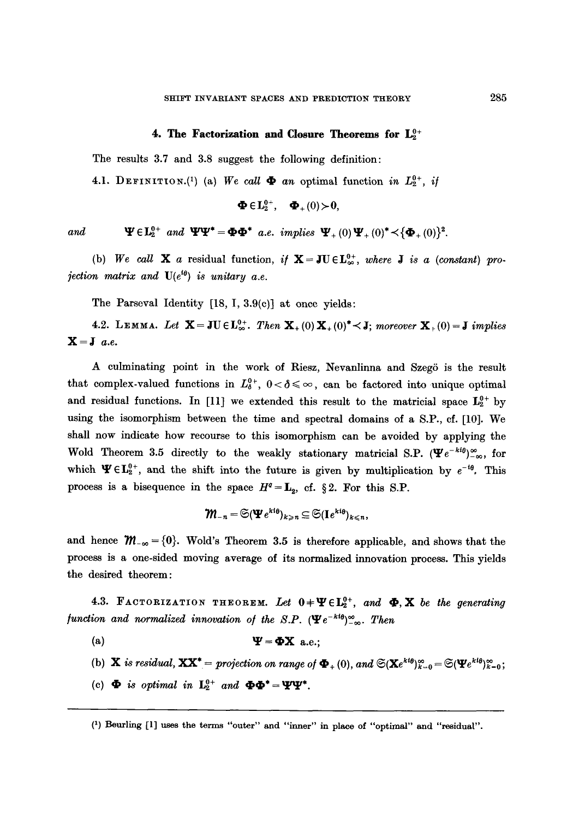#### 4. The Factorization and Closure Theorems for  $L_2^{0+}$

The results 3.7 and 3.8 suggest the following definition:

4.1. DEFINITION.<sup>(1)</sup> (a) We call  $\Phi$  an optimal function in  $L_2^{0+}$ , if

$$
\mathbf{\Phi \in } \mathbf{L}_{2}^{0+}, \quad \mathbf{\Phi_{+}}(0) \!\succ\! \mathbf{0},
$$

and  $\Psi \in L_2^{0+}$  and  $\Psi \Psi^* = \mathbf{\Phi} \mathbf{\Phi}^*$  a.e. implies  $\Psi_+(0)\Psi_+(0)^* < {\Phi_+(0)}^2$ .

(b) We call **X** a residual function, if  $X = JU \in L_{\infty}^{0+}$ , where *J* is a (constant) pro*jection matrix and*  $U(e^{i\theta})$  *is unitary a.e.* 

The Parseval Identity [18, I, 3.9(c)] at once yields:

4.2. LEMMA. Let  $\mathbf{X} = \mathbf{J} \mathbf{U} \in L_{\infty}^{0+}$ . Then  $\mathbf{X}_{+}(0) \mathbf{X}_{+}(0)^{*} \leq \mathbf{J}$ ; moreover  $\mathbf{X}_{+}(0) = \mathbf{J}$  implies  $X=J$  *a.e.* 

A culminating point in the work of Riesz, Nevanlinna and Szegö is the result that complex-valued functions in  $L_6^{0+}$ ,  $0<\delta\leqslant \infty$ , can be factored into unique optimal and residual functions. In [11] we extended this result to the matricial space  $L_2^{0+}$  by using the isomorphism between the time and spectral domains of a S.P., cf. [10]. We shall now indicate how recourse to this isomorphism can be avoided by applying the Wold Theorem 3.5 directly to the weakly stationary matricial S.P. ( $\Psi e^{-kt}$ ) $\approx_{\infty}$ , for which  $\Psi \in L_2^{0+}$ , and the shift into the future is given by multiplication by  $e^{-t\theta}$ . This process is a bisequence in the space  $H^q = L_2$ , cf. §2. For this S.P.

$$
\textstyle\raisebox{0.6ex}{$\mathfrak{M}_{-n}=\mathfrak{S}(\mathbf{\Psi} e^{k\mathfrak{l}_{\theta}})_{k\geqslant n}}\subseteq \mathfrak{S}(\mathbf{I} e^{k\mathfrak{l}_{\theta}})_{k\leqslant n},
$$

and hence  $\mathcal{M}_{-\infty} = \{0\}$ . Wold's Theorem 3.5 is therefore applicable, and shows that the process is a one-sided moving average of its normalized innovation process. This yields the desired theorem:

4.3. FACTORIZATION THEOREM. Let  $0+\Psi \in L_2^{0+}$ , and  $\Phi$ , X *be the generating function and normalized innovation of the S.P.*  $(\Psi e^{-kt\theta})_{-\infty}^{\infty}$ . *Then* 

- (a)  $\Psi = \Phi X$  a.e.;
- (b) **X** *is residual,*  $\mathbf{X}\mathbf{X}^* = \text{projection on range of } \mathbf{\Phi}_+(0)$ , and  $\mathfrak{S}(\mathbf{X}e^{k\mathfrak{t}_{\theta}})_{k=0}^{\infty} = \mathfrak{S}(\mathbf{\Psi}e^{k\mathfrak{t}_{\theta}})_{k=0}^{\infty}$ ;
- (c)  $\Phi$  is optimal in  $\mathbf{L}_2^{0+}$  and  $\Phi \Phi^* = \Psi \Psi^*$ .

(1) Beurling [1] uses the terms "outer" and "inner" in place of "optimal" and "residual".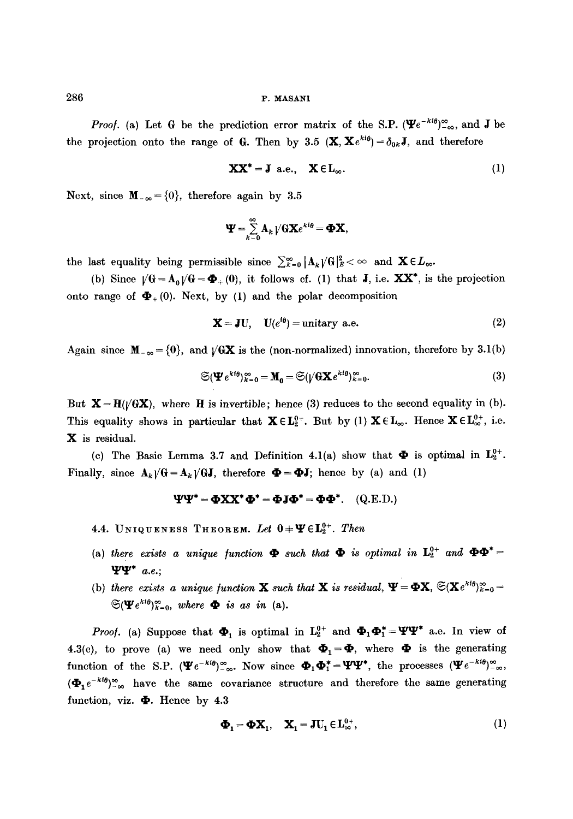*Proof.* (a) Let G be the prediction error matrix of the S.P.  $(\Psi e^{-ki\theta})_{-\infty}^{\infty}$ , and J be the projection onto the range of G. Then by 3.5  $(\mathbf{X}, \mathbf{X}e^{kt\theta}) = \delta_{0k}\mathbf{J}$ , and therefore

$$
\mathbf{XX}^* = \mathbf{J} \text{ a.e., } \mathbf{X} \in \mathbf{L}_{\infty}. \tag{1}
$$

Next, since  $\mathbf{M}_{-\infty} = \{0\}$ , therefore again by 3.5

$$
\mathbf{\Psi} = \sum_{k=0}^{\infty} \mathbf{A}_k \bigvee \mathbf{G} \mathbf{X} e^{k \mathbf{i} \theta} = \mathbf{\Phi} \mathbf{X},
$$

the last equality being permissible since  $\sum_{k=0}^{\infty} |A_k V G|_{E}^2 < \infty$  and  $\mathbf{X} \in L_{\infty}$ .

(b) Since  $\sqrt{G} = A_0 \sqrt{G} = \Phi_+(0)$ , it follows cf. (1) that **J**, i.e. **XX**<sup>\*</sup>, is the projection onto range of  $\mathbf{\Phi}_+(0)$ . Next, by (1) and the polar decomposition

$$
\mathbf{X} = \mathbf{J} \mathbf{U}, \quad \mathbf{U}(e^{i\theta}) = \text{unitary a.e.} \tag{2}
$$

Again since  $M_{-\infty} = \{0\}$ , and  $\sqrt{GX}$  is the (non-normalized) innovation, therefore by 3.1(b)

$$
\mathfrak{S}(\mathbf{\Psi}e^{k\mathfrak{t}\theta})_{k=0}^{\infty} = \mathbf{M}_0 = \mathfrak{S}(\sqrt{6}\mathbf{X}e^{k\mathfrak{t}\theta})_{k=0}^{\infty}.
$$
 (3)

But  $X=H(\sqrt{GX})$ , where H is invertible; hence (3) reduces to the second equality in (b). This equality shows in particular that  $\mathbf{X} \in L_2^{0}$ . But by (1)  $\mathbf{X} \in L_{\infty}$ . Hence  $\mathbf{X} \in L_{\infty}^{0+}$ , i.e. X is residual.

(c) The Basic Lemma 3.7 and Definition 4.1(a) show that  $\Phi$  is optimal in  $L_2^{0+}$ . Finally, since  $A_k / G = A_k / GJ$ , therefore  $\Phi = \Phi J$ ; hence by (a) and (1)

$$
\Psi\Psi^* = \Phi XX^* \Phi^* = \Phi J \Phi^* = \Phi \Phi^*.
$$
 (Q.E.D.)

4.4. UNIQUENESS THEOREM. Let  $0 + \Psi \in L_2^{0+}$ . Then

- (a) there exists a unique function  $\Phi$  such that  $\Phi$  is optimal in  $\mathbf{L}_2^{0+}$  and  $\Phi\Phi^*$ *t]Ert~\* a.e.;*
- (b) there exists a unique function **X** such that **X** is residual,  $\Psi = \Phi \mathbf{X}$ ,  $\mathfrak{S}(\mathbf{X}e^{kt\theta})_{k=0}^{\infty}$  $\mathfrak{S}(\mathbf{\Psi} e^{kt\theta})_{k=0}^{\infty}$ , where  $\mathbf{\Phi}$  is as in (a).

*Proof.* (a) Suppose that  $\Phi_1$  is optimal in  $L_2^{0+}$  and  $\Phi_1 \Phi_1^* = \Psi \Psi^*$  a.e. In view of 4.3(c), to prove (a) we need only show that  $\mathbf{\Phi}_1 = \mathbf{\Phi}$ , where  $\mathbf{\Phi}$  is the generating function of the S.P.  $(\Psi e^{-k\theta})_{-\infty}^{\infty}$ . Now since  $\Phi_1\Phi_1^* = \Psi\Psi^*$ , the processes  $(\Psi e^{-k\theta})_{-\infty}^{\infty}$ ,  $(\mathbf{\Phi}_1 e^{-kt\theta})_{-\infty}^{\infty}$  have the same covariance structure and therefore the same generating function, viz.  $\Phi$ . Hence by 4.3

$$
\mathbf{\Phi}_{1} = \mathbf{\Phi} \mathbf{X}_{1}, \quad \mathbf{X}_{1} = \mathbf{J} \mathbf{U}_{1} \in \mathbf{L}_{\infty}^{0+}, \tag{1}
$$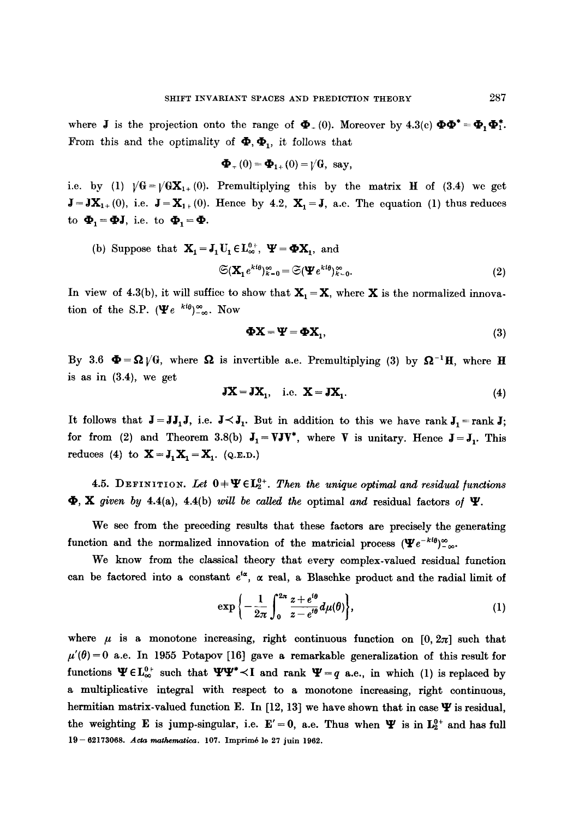where **J** is the projection onto the range of  $\Phi_+(0)$ . Moreover by 4.3(c)  $\Phi \Phi^* = \Phi_1 \Phi_1^*$ . From this and the optimality of  $\mathbf{\Phi}, \mathbf{\Phi}_1$ , it follows that

$$
\mathbf{\Phi}_{+}(0)=\mathbf{\Phi}_{1+}(0)=\mathbf{V}\mathbf{G}, \ \ \text{say},
$$

i.e. by (1)  $\sqrt{G} = \sqrt{G}X_{1+} (0)$ . Premultiplying this by the matrix H of (3.4) we get  $J=JX_{1+}(0)$ , i.e.  $J=X_{1+}(0)$ . Hence by 4.2,  $X_1=J$ , a.e. The equation (1) thus reduces to  $\Phi_1 = \Phi J$ , i.e. to  $\Phi_1 = \Phi$ .

(b) Suppose that 
$$
\mathbf{X}_1 = \mathbf{J}_1 \mathbf{U}_1 \in \mathbf{L}_{\infty}^{\theta+}, \ \mathbf{\Psi} = \mathbf{\Phi} \mathbf{X}_1
$$
, and  
\n
$$
\mathfrak{S}(\mathbf{X}_1 e^{kt\theta})_{k=0}^{\infty} = \mathfrak{S}(\mathbf{\Psi} e^{kt\theta})_{k=0}^{\infty}.
$$
\n(2)

In view of 4.3(b), it will suffice to show that  $X_1 = X$ , where X is the normalized innovation of the S.P. ( $\Psi e^{kt\theta}$ )<sup> $\infty$ </sup>. Now

$$
\mathbf{\Phi} \mathbf{X} = \mathbf{\Psi} = \mathbf{\Phi} \mathbf{X}_1,\tag{3}
$$

By 3.6  $\Phi = \Omega / G$ , where  $\Omega$  is invertible a.e. Premultiplying (3) by  $\Omega^{-1}$ H, where H is as in (3.4), we get

$$
JX = JX_1, \quad i.e. \quad X = JX_1. \tag{4}
$$

It follows that  $J = JJ_1J$ , i.e.  $J \prec J_1$ . But in addition to this we have rank  $J_1 = \text{rank } J$ ; for from (2) and Theorem 3.8(b)  $J_1 = VJV^*$ , where V is unitary. Hence  $J = J_1$ . This reduces (4) to  $\mathbf{X} = \mathbf{J}_1 \mathbf{X}_1 = \mathbf{X}_1$ . (Q.E.D.)

4.5. DEFINITION. Let  $0=\Psi \in L_2^{0+}$ . Then the unique optimal and residual functions  $\Phi$ , **X** given by 4.4(a), 4.4(b) *will be called the* optimal and residual factors of  $\Psi$ .

We see from the preceding results that these factors are precisely the generating function and the normalized innovation of the matricial process  $(\Psi e^{-kt\theta})_{-\infty}^{\infty}$ .

We know from the classical theory that every complex-valued residual function can be factored into a constant  $e^{i\alpha}$ ,  $\alpha$  real, a Blaschke product and the radial limit of

$$
\exp\left\{-\frac{1}{2\pi}\int_0^{2\pi}\frac{z+e^{i\theta}}{z-e^{i\theta}}d\mu(\theta)\right\},\tag{1}
$$

where  $\mu$  is a monotone increasing, right continuous function on [0, 2 $\pi$ ] such that  $\mu'(\theta) = 0$  a.e. In 1955 Potapov [16] gave a remarkable generalization of this result for functions  $\Psi \in L_{\infty}^{0+}$  such that  $\Psi \Psi^* \prec I$  and rank  $\Psi = q$  a.e., in which (1) is replaced by a multiplicative integral with respect to a monotone increasing, right continuous, hermitian matrix-valued function E. In [12, 13] we have shown that in case  $\Psi$  is residual, the weighting E is jump-singular, i.e.  $E' = 0$ , a.e. Thus when  $\Psi$  is in  $L_2^{0+}$  and has full  $19 - 62173068$ . Acta mathematica. 107. Imprimé le 27 juin 1962.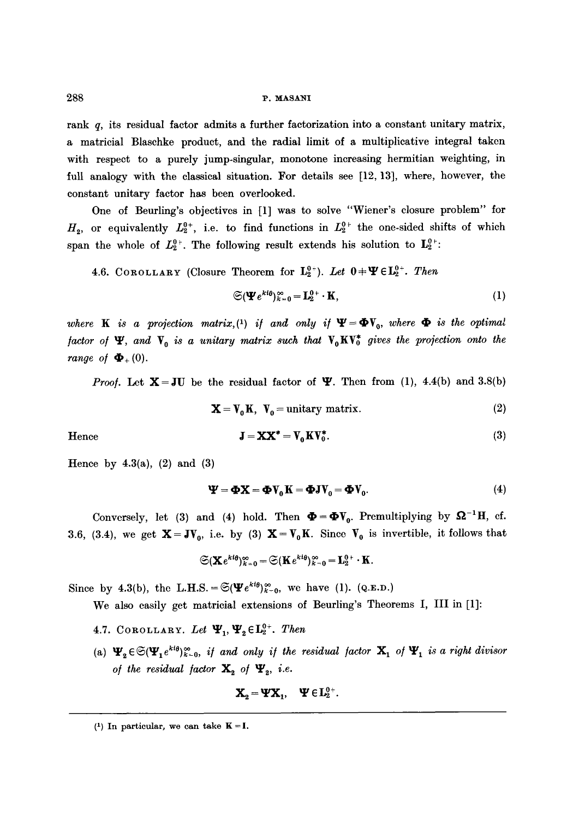rank  $q$ , its residual factor admits a further factorization into a constant unitary matrix, a matricial Blaschke product, and the radial limit of a multiplicative integral taken with respect to a purely jump-singular, monotone increasing hermitian weighting, in full analogy with the classical situation. For details see [12, 13], where, however, the constant unitary factor has been overlooked.

One of Beurling's objectives in [1] was to solve "Wiener's closure problem" for  $H_2$ , or equivalently  $L_2^{0+}$ , i.e. to find functions in  $L_2^{0+}$  the one-sided shifts of which span the whole of  $L_2^{0+}$ . The following result extends his solution to  $L_2^{0+}$ .

4.6. COROLLARY (Closure Theorem for  $L_2^{0+}$ ). Let  $0+\Psi \in L_2^{0+}$ . Then

$$
\mathfrak{S}(\mathbf{\Psi}e^{\mathbf{k}\mathbf{i}\theta})_{k=0}^{\infty}=\mathbf{L}_{2}^{0+}\cdot\mathbf{K},\tag{1}
$$

*where* **K** is a projection matrix,<sup>(1)</sup> if and only if  $\Psi = \Phi V_0$ , where  $\Phi$  is the optimal *factor of*  $\Psi$ *, and*  $V_0$  *is a unitary matrix such that*  $V_0$ KV<sup>\*</sup> *gives the projection onto the range of*  $\mathbf{\Phi}_+(0)$ .

*Proof.* Let  $X = JU$  be the residual factor of  $\Psi$ . Then from (1), 4.4(b) and 3.8(b)

 $X = V_0 K$ ,  $V_0 =$  unitary matrix. (2)

Hence

$$
\mathbf{J} = \mathbf{XX}^* = \mathbf{V}_0 \mathbf{K} \mathbf{V}_0^*.
$$
 (3)

Hence by  $4.3(a)$ ,  $(2)$  and  $(3)$ 

$$
\mathbf{\Psi} = \mathbf{\Phi} \mathbf{X} = \mathbf{\Phi} \mathbf{V}_0 \mathbf{K} = \mathbf{\Phi} \mathbf{J} \mathbf{V}_0 = \mathbf{\Phi} \mathbf{V}_0. \tag{4}
$$

Conversely, let (3) and (4) hold. Then  $\Phi = \Phi V_0$ . Premultiplying by  $\Omega^{-1}H$ , cf. 3.6, (3.4), we get  $\mathbf{X}=\mathbf{J}\mathbf{V}_0$ , i.e. by (3)  $\mathbf{X}=\mathbf{V}_0\mathbf{K}$ . Since  $\mathbf{V}_0$  is invertible, it follows that

$$
\mathfrak{S}({\bf X}e^{\kappa i\theta})_{k=0}^\infty=\mathfrak{S}({\bf K}e^{\kappa i\theta})_{k=0}^\infty={\bf L}_2^{0+}\cdot {\bf K}.
$$

Since by 4.3(b), the L.H.S. =  $\mathfrak{S}(\mathbf{\Psi}e^{kt\theta})_{k=0}^{\infty}$ , we have (1). (Q.E.D.)

We also easily get matrieial extensions of Beurling's Theorems I, III in [1]:

- 4.7. COROLLARY. Let  $\Psi_1, \Psi_2 \in L_2^{0+}$ . Then
- (a)  $\Psi_2 \in \mathfrak{S}(\Psi_1 e^{kt\theta})_{k=0}^{\infty}$ , if and only if the residual factor  $\mathbf{X}_1$  of  $\Psi_1$  is a right divisor *of the residual factor*  $\mathbf{X}_2$  *of*  $\Psi_2$ *, i.e.*

$$
\mathbf{X}_2 = \mathbf{\Psi} \mathbf{X}_1, \quad \mathbf{\Psi} \in \mathbf{L}_2^{0+}.
$$

 $(1)$  In particular, we can take  $K = I$ .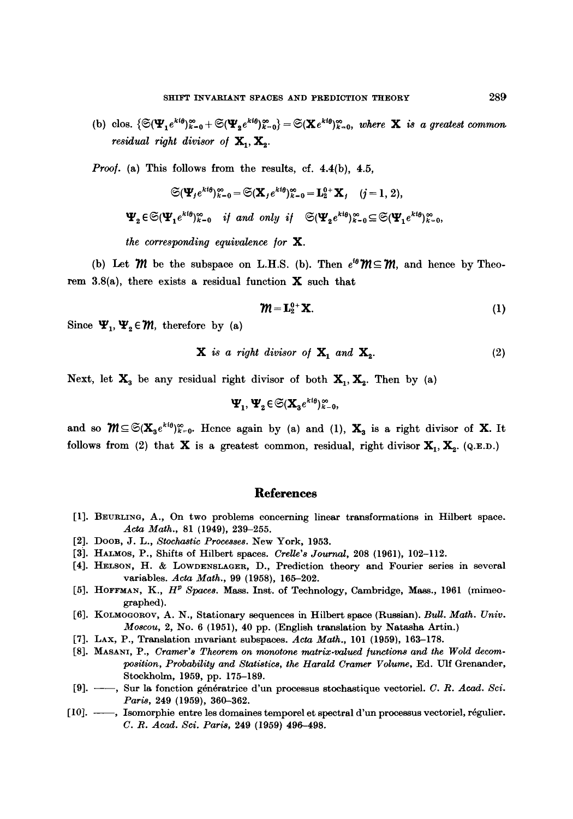(b) clos.  $\{\mathfrak{S}(\mathbf{\Psi}_1 e^{k i \theta})_{k=0}^{\infty}+\mathfrak{S}(\mathbf{\Psi}_2 e^{k i \theta})_{k=0}^{\infty}\}=\mathfrak{S}(\mathbf{X} e^{k i \theta})_{k=0}^{\infty}$ , where **X** is a greatest common. *residual right divisor of*  $X_1, X_2$ .

*Proof.* (a) This follows from the results, cf. 4.4(b), 4.5,

$$
\mathfrak{S}(\Psi_j e^{kt\theta})_{k=0}^{\infty} = \mathfrak{S}(\mathbf{X}_j e^{kt\theta})_{k=0}^{\infty} = \mathbf{L}_2^{0+} \mathbf{X}_j \quad (j = 1, 2),
$$
  

$$
\Psi_2 \in \mathfrak{S}(\Psi_1 e^{kt\theta})_{k=0}^{\infty} \quad \text{if and only if} \quad \mathfrak{S}(\Psi_2 e^{kt\theta})_{k=0}^{\infty} \subseteq \mathfrak{S}(\Psi_1 e^{kt\theta})_{k=0}^{\infty},
$$
  
the corresponding equivalence for **X**.

(b) Let  $m$  be the subspace on L.H.S. (b). Then  $e^{i\theta}m \subseteq m$ , and hence by Theorem 3.8(a), there exists a residual function  $X$  such that

$$
\mathbf{W} = \mathbf{L}_2^{0+} \mathbf{X}.\tag{1}
$$

Since  $\Psi_1, \Psi_2 \in \mathcal{M}$ , therefore by (a)

$$
\mathbf{X} \text{ is a right divisor of } \mathbf{X}_1 \text{ and } \mathbf{X}_2. \tag{2}
$$

Next, let  $X_3$  be any residual right divisor of both  $X_1, X_2$ . Then by (a)

$$
\Psi_{1},\Psi_{2}\in \widetilde{\mathfrak{S}}(\mathbf{X}_{3}e^{\mathbf{k}t_{\theta}})_{k=0}^{\infty},
$$

and so  $\mathcal{M}\subseteq \mathfrak{S}(\mathbf{X}_n e^{k t \theta})_{n=0}^{\infty}$ . Hence again by (a) and (1),  $\mathbf{X}_n$  is a right divisor of **X**. It follows from (2) that **X** is a greatest common, residual, right divisor  $X_1, X_2$ . (Q.E.D.)

## **References**

- [1]. BEURLINO, A., On two problems concerning linear transformations in Hilbert space. Acta Math., 81 (1949), 239-255.
- [2]. DOOR, J. L., *Stochastic Processes.* New York, 1953.
- [3]. HALMOS, P., Shifts of Hilbert spaces. *Crelle's Journal*, 208 (1961), 102-112.
- [4]. HELSON, H. & LOWDENSLAGER, D., Prediction theory and Fourier series in several variables. *Acta Math.*, 99 (1958), 165-202.
- [5]. HOFFMAN, K.,  $H^p$  Spaces. Mass. Inst. of Technology, Cambridge, Mass., 1961 (mimeographed).
- [6]. KOLMOGOROV, A. N., Stationary sequences in Hilbert space (Russian). *Bull. Math. Univ. Moscou,* 2, No. 6 (1951), 40 pp. (English translation by Natasha Artin.)
- [7]. LAX, P., Translation mvariant subspaces. Acta Math., 101 (1959), 163-178.
- [8]. MASANI, P., *Cramer's Theorem on monotone matrix-valued functions and the Wold decomposition, Probability and Statistics, the Harald Cramer Volume, Ed. Ulf Grenander,* Stockholm, 1959, pp. 175-189.
- [9]. --, Sur la fonetion g6n6ratriee d'un processus stochastique vectoriel. *C. R. Acad. Sci. Paris,* 249 (1959), 360-362.
- [10]. --, Isomorphie entre les domaines temporel et spectral d'un processus vectoriel, régulier. *C. R. Acad. Sci. Paris,* 249 (1959) 496-498.